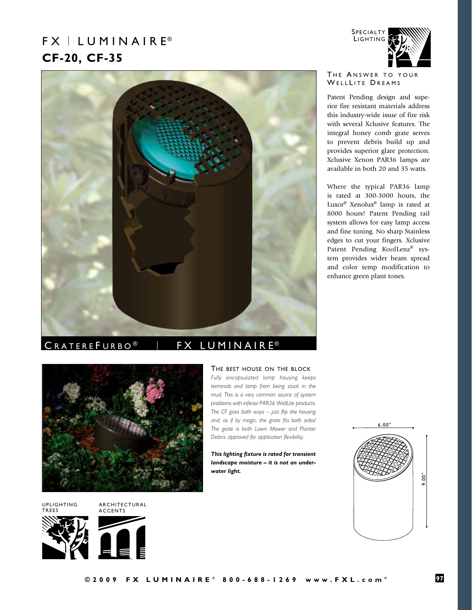# $FX \perp LUMIN AIR E<sup>®</sup>$ **CF-20, CF-35**



# CRATEREFURBO<sup>®</sup> | FX LUMINAIRE<sup>®</sup>



uplighting **TREES** 

architectural accents





The best house on the block *Fully encapsulated lamp housing keeps terminals and lamp from being stuck in the mud. This is a very common source of system problems with inferior PAR36 WellLite products. The CF goes both ways – just flip the housing and, as if by magic, the grate fits both sides! The grate is both Lawn Mower and Planter Debris approved for application flexibility.*

*This lighting fixture is rated for transient landscape moisture – it is not an underwater light.* 



# THE ANSWER TO YOUR WELLLITE DREAMS

**SPECIALTY LIGHTING** 

Patent Pending design and superior fire resistant materials address this industry-wide issue of fire risk with several Xclusive features. The integral honey comb grate serves to prevent debris build up and provides superior glare protection. Xclusive Xenon PAR36 lamps are available in both 20 and 35 watts.

Where the typical PAR36 lamp is rated at 300-3000 hours, the Luxor® Xenolux® lamp is rated at 8000 hours! Patent Pending rail system allows for easy lamp access and fine tuning. No sharp Stainless edges to cut your fingers. Xclusive Patent Pending KoolLenz® system provides wider beam spread and color temp modification to enhance green plant tones.